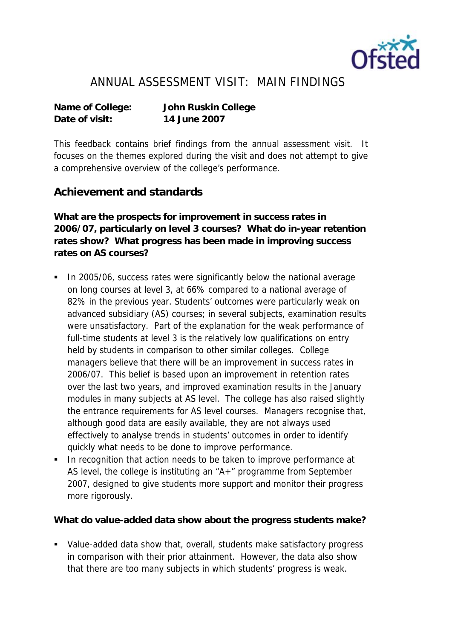

## ANNUAL ASSESSMENT VISIT: MAIN FINDINGS

**Date of visit: 14 June 2007**

**Name of College: John Ruskin College**

This feedback contains brief findings from the annual assessment visit. It focuses on the themes explored during the visit and does not attempt to give a comprehensive overview of the college's performance.

## **Achievement and standards**

**What are the prospects for improvement in success rates in 2006/07, particularly on level 3 courses? What do in-year retention rates show? What progress has been made in improving success rates on AS courses?**

- In 2005/06, success rates were significantly below the national average on long courses at level 3, at 66% compared to a national average of 82% in the previous year. Students' outcomes were particularly weak on advanced subsidiary (AS) courses; in several subjects, examination results were unsatisfactory. Part of the explanation for the weak performance of full-time students at level 3 is the relatively low qualifications on entry held by students in comparison to other similar colleges. College managers believe that there will be an improvement in success rates in 2006/07. This belief is based upon an improvement in retention rates over the last two years, and improved examination results in the January modules in many subjects at AS level. The college has also raised slightly the entrance requirements for AS level courses. Managers recognise that, although good data are easily available, they are not always used effectively to analyse trends in students' outcomes in order to identify quickly what needs to be done to improve performance.
- **In recognition that action needs to be taken to improve performance at** AS level, the college is instituting an "A+" programme from September 2007, designed to give students more support and monitor their progress more rigorously.

**What do value-added data show about the progress students make?**

 Value-added data show that, overall, students make satisfactory progress in comparison with their prior attainment. However, the data also show that there are too many subjects in which students' progress is weak.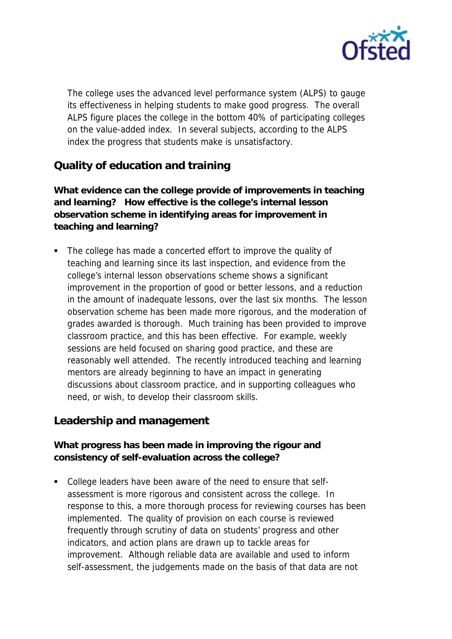

The college uses the advanced level performance system (ALPS) to gauge its effectiveness in helping students to make good progress. The overall ALPS figure places the college in the bottom 40% of participating colleges on the value-added index. In several subjects, according to the ALPS index the progress that students make is unsatisfactory.

## **Quality of education and training**

**What evidence can the college provide of improvements in teaching and learning? How effective is the college's internal lesson observation scheme in identifying areas for improvement in teaching and learning?**

• The college has made a concerted effort to improve the quality of teaching and learning since its last inspection, and evidence from the college's internal lesson observations scheme shows a significant improvement in the proportion of good or better lessons, and a reduction in the amount of inadequate lessons, over the last six months. The lesson observation scheme has been made more rigorous, and the moderation of grades awarded is thorough. Much training has been provided to improve classroom practice, and this has been effective. For example, weekly sessions are held focused on sharing good practice, and these are reasonably well attended. The recently introduced teaching and learning mentors are already beginning to have an impact in generating discussions about classroom practice, and in supporting colleagues who need, or wish, to develop their classroom skills.

## **Leadership and management**

**What progress has been made in improving the rigour and consistency of self-evaluation across the college?** 

 College leaders have been aware of the need to ensure that selfassessment is more rigorous and consistent across the college. In response to this, a more thorough process for reviewing courses has been implemented. The quality of provision on each course is reviewed frequently through scrutiny of data on students' progress and other indicators, and action plans are drawn up to tackle areas for improvement. Although reliable data are available and used to inform self-assessment, the judgements made on the basis of that data are not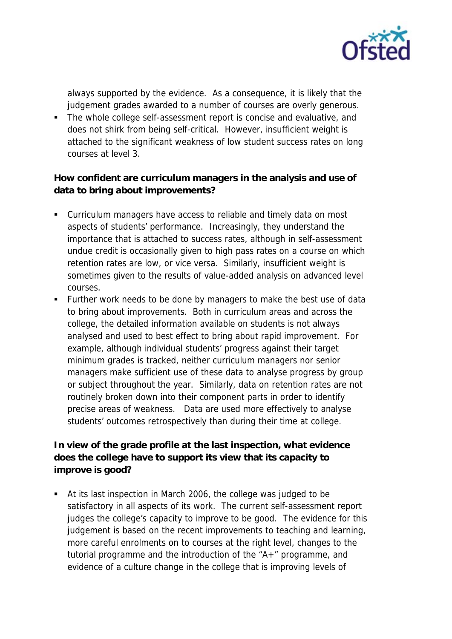

always supported by the evidence. As a consequence, it is likely that the judgement grades awarded to a number of courses are overly generous.

• The whole college self-assessment report is concise and evaluative, and does not shirk from being self-critical. However, insufficient weight is attached to the significant weakness of low student success rates on long courses at level 3.

**How confident are curriculum managers in the analysis and use of data to bring about improvements?**

- Curriculum managers have access to reliable and timely data on most aspects of students' performance. Increasingly, they understand the importance that is attached to success rates, although in self-assessment undue credit is occasionally given to high pass rates on a course on which retention rates are low, or vice versa. Similarly, insufficient weight is sometimes given to the results of value-added analysis on advanced level courses.
- **Further work needs to be done by managers to make the best use of data** to bring about improvements. Both in curriculum areas and across the college, the detailed information available on students is not always analysed and used to best effect to bring about rapid improvement. For example, although individual students' progress against their target minimum grades is tracked, neither curriculum managers nor senior managers make sufficient use of these data to analyse progress by group or subject throughout the year. Similarly, data on retention rates are not routinely broken down into their component parts in order to identify precise areas of weakness. Data are used more effectively to analyse students' outcomes retrospectively than during their time at college.

**In view of the grade profile at the last inspection, what evidence does the college have to support its view that its capacity to improve is good?**

 At its last inspection in March 2006, the college was judged to be satisfactory in all aspects of its work. The current self-assessment report judges the college's capacity to improve to be good. The evidence for this judgement is based on the recent improvements to teaching and learning, more careful enrolments on to courses at the right level, changes to the tutorial programme and the introduction of the "A+" programme, and evidence of a culture change in the college that is improving levels of